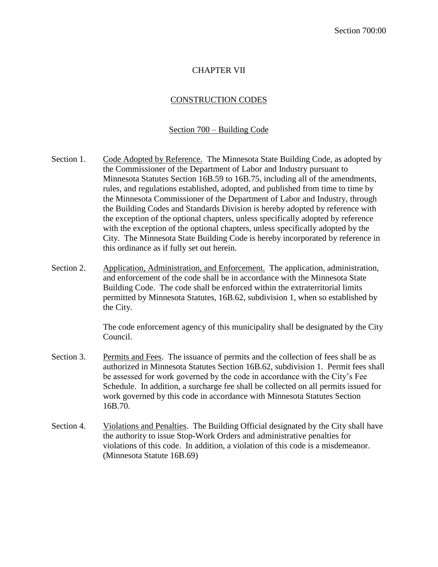#### CHAPTER VII

#### CONSTRUCTION CODES

#### Section 700 – Building Code

- Section 1. Code Adopted by Reference. The Minnesota State Building Code, as adopted by the Commissioner of the Department of Labor and Industry pursuant to Minnesota Statutes Section 16B.59 to 16B.75, including all of the amendments, rules, and regulations established, adopted, and published from time to time by the Minnesota Commissioner of the Department of Labor and Industry, through the Building Codes and Standards Division is hereby adopted by reference with the exception of the optional chapters, unless specifically adopted by reference with the exception of the optional chapters, unless specifically adopted by the City. The Minnesota State Building Code is hereby incorporated by reference in this ordinance as if fully set out herein.
- Section 2. Application, Administration, and Enforcement. The application, administration, and enforcement of the code shall be in accordance with the Minnesota State Building Code. The code shall be enforced within the extraterritorial limits permitted by Minnesota Statutes, 16B.62, subdivision 1, when so established by the City.

The code enforcement agency of this municipality shall be designated by the City Council.

- Section 3. Permits and Fees. The issuance of permits and the collection of fees shall be as authorized in Minnesota Statutes Section 16B.62, subdivision 1. Permit fees shall be assessed for work governed by the code in accordance with the City's Fee Schedule. In addition, a surcharge fee shall be collected on all permits issued for work governed by this code in accordance with Minnesota Statutes Section 16B.70.
- Section 4. Violations and Penalties. The Building Official designated by the City shall have the authority to issue Stop-Work Orders and administrative penalties for violations of this code. In addition, a violation of this code is a misdemeanor. (Minnesota Statute 16B.69)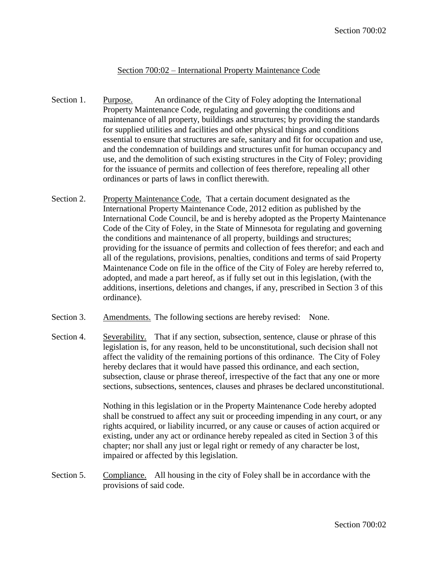## Section 700:02 – International Property Maintenance Code

- Section 1. Purpose. An ordinance of the City of Foley adopting the International Property Maintenance Code, regulating and governing the conditions and maintenance of all property, buildings and structures; by providing the standards for supplied utilities and facilities and other physical things and conditions essential to ensure that structures are safe, sanitary and fit for occupation and use, and the condemnation of buildings and structures unfit for human occupancy and use, and the demolition of such existing structures in the City of Foley; providing for the issuance of permits and collection of fees therefore, repealing all other ordinances or parts of laws in conflict therewith.
- Section 2. Property Maintenance Code. That a certain document designated as the International Property Maintenance Code, 2012 edition as published by the International Code Council, be and is hereby adopted as the Property Maintenance Code of the City of Foley, in the State of Minnesota for regulating and governing the conditions and maintenance of all property, buildings and structures; providing for the issuance of permits and collection of fees therefor; and each and all of the regulations, provisions, penalties, conditions and terms of said Property Maintenance Code on file in the office of the City of Foley are hereby referred to, adopted, and made a part hereof, as if fully set out in this legislation, (with the additions, insertions, deletions and changes, if any, prescribed in Section 3 of this ordinance).
- Section 3. Amendments. The following sections are hereby revised: None.
- Section 4. Severability. That if any section, subsection, sentence, clause or phrase of this legislation is, for any reason, held to be unconstitutional, such decision shall not affect the validity of the remaining portions of this ordinance. The City of Foley hereby declares that it would have passed this ordinance, and each section, subsection, clause or phrase thereof, irrespective of the fact that any one or more sections, subsections, sentences, clauses and phrases be declared unconstitutional.

Nothing in this legislation or in the Property Maintenance Code hereby adopted shall be construed to affect any suit or proceeding impending in any court, or any rights acquired, or liability incurred, or any cause or causes of action acquired or existing, under any act or ordinance hereby repealed as cited in Section 3 of this chapter; nor shall any just or legal right or remedy of any character be lost, impaired or affected by this legislation.

Section 5. Compliance. All housing in the city of Foley shall be in accordance with the provisions of said code.